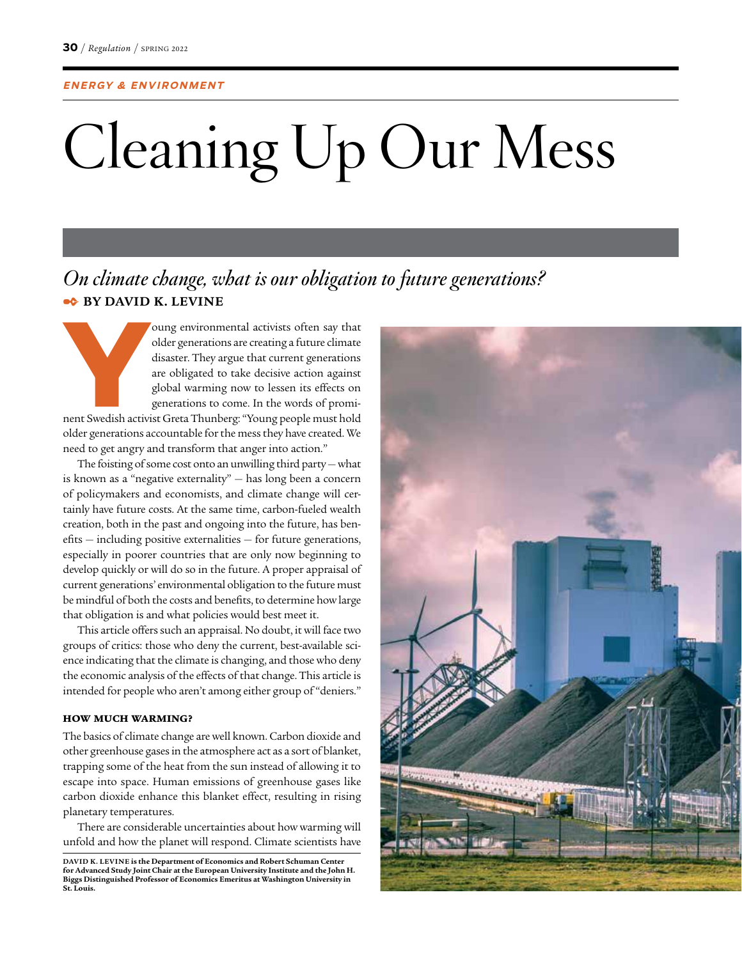# Cleaning Up Our Mess

## *On climate change, what is our obligation to future generations?* ✒ **BY DAVID K. LEVINE**

Foung environmental activists often say that older generations are creating a future climate disaster. They argue that current generations are obligated to take decisive action against global warming now to lessen its effe older generations are creating a future climate disaster. They argue that current generations are obligated to take decisive action against global warming now to lessen its effects on generations to come. In the words of promiolder generations accountable for the mess they have created. We need to get angry and transform that anger into action."

The foisting of some cost onto an unwilling third party  $-$  what is known as a "negative externality" — has long been a concern of policymakers and economists, and climate change will certainly have future costs. At the same time, carbon-fueled wealth creation, both in the past and ongoing into the future, has benefits — including positive externalities — for future generations, especially in poorer countries that are only now beginning to develop quickly or will do so in the future. A proper appraisal of current generations' environmental obligation to the future must be mindful of both the costs and benefits, to determine how large that obligation is and what policies would best meet it.

This article offers such an appraisal. No doubt, it will face two groups of critics: those who deny the current, best-available science indicating that the climate is changing, and those who deny the economic analysis of the effects of that change. This article is intended for people who aren't among either group of "deniers."

#### HOW MUCH WARMING?

The basics of climate change are well known. Carbon dioxide and other greenhouse gases in the atmosphere act as a sort of blanket, trapping some of the heat from the sun instead of allowing it to escape into space. Human emissions of greenhouse gases like carbon dioxide enhance this blanket effect, resulting in rising planetary temperatures.

There are considerable uncertainties about how warming will unfold and how the planet will respond. Climate scientists have

DAVID K. LEVINE is the Department of Economics and Robert Schuman Center<br>for Advanced Study Joint Chair at the European University Institute and the John H.<br>Biggs Distinguished Professor of Economics Emeritus at Washington **St. Louis.** 

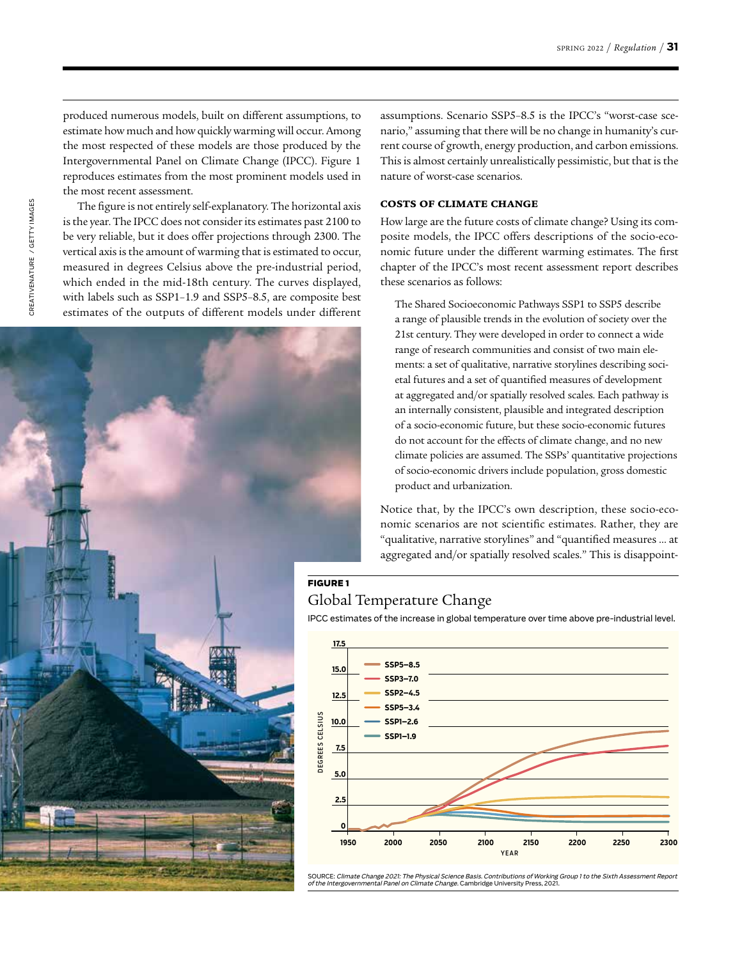produced numerous models, built on different assumptions, to estimate how much and how quickly warming will occur. Among the most respected of these models are those produced by the Intergovernmental Panel on Climate Change (IPCC). Figure 1 reproduces estimates from the most prominent models used in the most recent assessment.

The figure is not entirely self-explanatory. The horizontal axis is the year. The IPCC does not consider its estimates past 2100 to be very reliable, but it does offer projections through 2300. The vertical axis is the amount of warming that is estimated to occur, measured in degrees Celsius above the pre-industrial period, which ended in the mid-18th century. The curves displayed, with labels such as SSP1–1.9 and SSP5–8.5, are composite best estimates of the outputs of different models under different assumptions. Scenario SSP5–8.5 is the IPCC's "worst-case scenario," assuming that there will be no change in humanity's current course of growth, energy production, and carbon emissions. This is almost certainly unrealistically pessimistic, but that is the nature of worst-case scenarios.

#### COSTS OF CLIMATE CHANGE

How large are the future costs of climate change? Using its composite models, the IPCC offers descriptions of the socio-economic future under the different warming estimates. The first chapter of the IPCC's most recent assessment report describes these scenarios as follows:

The Shared Socioeconomic Pathways SSP1 to SSP5 describe a range of plausible trends in the evolution of society over the 21st century. They were developed in order to connect a wide range of research communities and consist of two main elements: a set of qualitative, narrative storylines describing societal futures and a set of quantified measures of development at aggregated and/or spatially resolved scales. Each pathway is an internally consistent, plausible and integrated description of a socio-economic future, but these socio-economic futures do not account for the effects of climate change, and no new climate policies are assumed. The SSPs' quantitative projections of socio-economic drivers include population, gross domestic product and urbanization.

Notice that, by the IPCC's own description, these socio-economic scenarios are not scientific estimates. Rather, they are "qualitative, narrative storylines" and "quantified measures … at aggregated and/or spatially resolved scales." This is disappoint-

#### Global Temperature Change

**FIGURE 1**

IPCC estimates of the increase in global temperature over time above pre-industrial level.



SOURCE: Climate Change 2021: The Physical Science Basis. Contributions of Working Group 1 to the Sixth Assessment Report<br>of the Intergovernmental Panel on Climate Change. Cambridge University Press, 2021.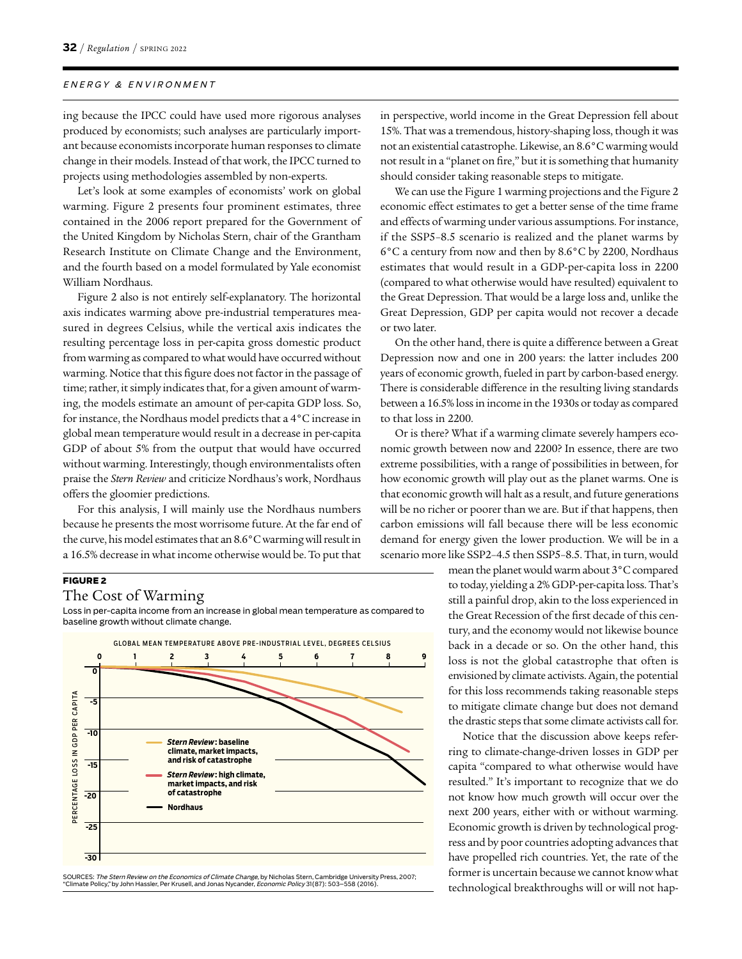ing because the IPCC could have used more rigorous analyses produced by economists; such analyses are particularly important because economists incorporate human responses to climate change in their models. Instead of that work, the IPCC turned to projects using methodologies assembled by non-experts.

Let's look at some examples of economists' work on global warming. Figure 2 presents four prominent estimates, three contained in the 2006 report prepared for the Government of the United Kingdom by Nicholas Stern, chair of the Grantham Research Institute on Climate Change and the Environment, and the fourth based on a model formulated by Yale economist William Nordhaus.

Figure 2 also is not entirely self-explanatory. The horizontal axis indicates warming above pre-industrial temperatures measured in degrees Celsius, while the vertical axis indicates the resulting percentage loss in per-capita gross domestic product from warming as compared to what would have occurred without warming. Notice that this figure does not factor in the passage of time; rather, it simply indicates that, for a given amount of warming, the models estimate an amount of per-capita GDP loss. So, for instance, the Nordhaus model predicts that a 4°C increase in global mean temperature would result in a decrease in per-capita GDP of about 5% from the output that would have occurred without warming. Interestingly, though environmentalists often praise the *Stern Review* and criticize Nordhaus's work, Nordhaus offers the gloomier predictions.

For this analysis, I will mainly use the Nordhaus numbers because he presents the most worrisome future. At the far end of the curve, his model estimates that an 8.6°C warming will result in a 16.5% decrease in what income otherwise would be. To put that

#### **FIGURE 2**

#### The Cost of Warming

Loss in per-capita income from an increase in global mean temperature as compared to baseline growth without climate change.



SOURCES: *The Stern Review on the Economics of Climate Change*, by Nicholas Stern, Cambridge University Press, 2007;<br>"Climate Policy," by John Hassler, Per Krusell, and Jonas Nycander, *Economic Policy* 31(87): 503–558 (20

in perspective, world income in the Great Depression fell about 15%. That was a tremendous, history-shaping loss, though it was not an existential catastrophe. Likewise, an 8.6°C warming would not result in a "planet on fire," but it is something that humanity should consider taking reasonable steps to mitigate.

We can use the Figure 1 warming projections and the Figure 2 economic effect estimates to get a better sense of the time frame and effects of warming under various assumptions. For instance, if the SSP5–8.5 scenario is realized and the planet warms by 6°C a century from now and then by 8.6°C by 2200, Nordhaus estimates that would result in a GDP-per-capita loss in 2200 (compared to what otherwise would have resulted) equivalent to the Great Depression. That would be a large loss and, unlike the Great Depression, GDP per capita would not recover a decade or two later.

On the other hand, there is quite a difference between a Great Depression now and one in 200 years: the latter includes 200 years of economic growth, fueled in part by carbon-based energy. There is considerable difference in the resulting living standards between a 16.5% loss in income in the 1930s or today as compared to that loss in 2200.

Or is there? What if a warming climate severely hampers economic growth between now and 2200? In essence, there are two extreme possibilities, with a range of possibilities in between, for how economic growth will play out as the planet warms. One is that economic growth will halt as a result, and future generations will be no richer or poorer than we are. But if that happens, then carbon emissions will fall because there will be less economic demand for energy given the lower production. We will be in a scenario more like SSP2–4.5 then SSP5–8.5. That, in turn, would

> mean the planet would warm about 3°C compared to today, yielding a 2% GDP-per-capita loss. That's still a painful drop, akin to the loss experienced in the Great Recession of the first decade of this century, and the economy would not likewise bounce back in a decade or so. On the other hand, this loss is not the global catastrophe that often is envisioned by climate activists. Again, the potential for this loss recommends taking reasonable steps to mitigate climate change but does not demand the drastic steps that some climate activists call for.

> Notice that the discussion above keeps referring to climate-change-driven losses in GDP per capita "compared to what otherwise would have resulted." It's important to recognize that we do not know how much growth will occur over the next 200 years, either with or without warming. Economic growth is driven by technological progress and by poor countries adopting advances that have propelled rich countries. Yet, the rate of the former is uncertain because we cannot know what technological breakthroughs will or will not hap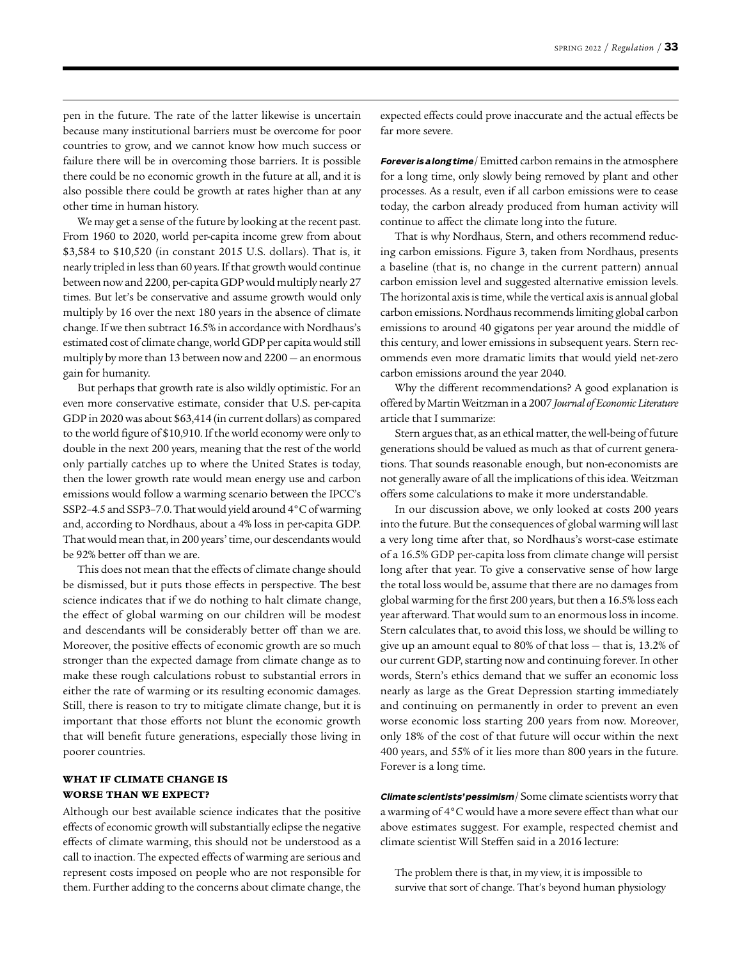pen in the future. The rate of the latter likewise is uncertain because many institutional barriers must be overcome for poor countries to grow, and we cannot know how much success or failure there will be in overcoming those barriers. It is possible there could be no economic growth in the future at all, and it is also possible there could be growth at rates higher than at any other time in human history.

We may get a sense of the future by looking at the recent past. From 1960 to 2020, world per-capita income grew from about \$3,584 to \$10,520 (in constant 2015 U.S. dollars). That is, it nearly tripled in less than 60 years. If that growth would continue between now and 2200, per-capita GDP would multiply nearly 27 times. But let's be conservative and assume growth would only multiply by 16 over the next 180 years in the absence of climate change. If we then subtract 16.5% in accordance with Nordhaus's estimated cost of climate change, world GDP per capita would still multiply by more than 13 between now and 2200 — an enormous gain for humanity.

But perhaps that growth rate is also wildly optimistic. For an even more conservative estimate, consider that U.S. per-capita GDP in 2020 was about \$63,414 (in current dollars) as compared to the world figure of \$10,910. If the world economy were only to double in the next 200 years, meaning that the rest of the world only partially catches up to where the United States is today, then the lower growth rate would mean energy use and carbon emissions would follow a warming scenario between the IPCC's SSP2–4.5 and SSP3–7.0. That would yield around 4°C of warming and, according to Nordhaus, about a 4% loss in per-capita GDP. That would mean that, in 200 years' time, our descendants would be 92% better off than we are.

This does not mean that the effects of climate change should be dismissed, but it puts those effects in perspective. The best science indicates that if we do nothing to halt climate change, the effect of global warming on our children will be modest and descendants will be considerably better off than we are. Moreover, the positive effects of economic growth are so much stronger than the expected damage from climate change as to make these rough calculations robust to substantial errors in either the rate of warming or its resulting economic damages. Still, there is reason to try to mitigate climate change, but it is important that those efforts not blunt the economic growth that will benefit future generations, especially those living in poorer countries.

#### WHAT IF CLIMATE CHANGE IS WORSE THAN WE EXPECT?

Although our best available science indicates that the positive effects of economic growth will substantially eclipse the negative effects of climate warming, this should not be understood as a call to inaction. The expected effects of warming are serious and represent costs imposed on people who are not responsible for them. Further adding to the concerns about climate change, the expected effects could prove inaccurate and the actual effects be far more severe.

Forever is a long time / Emitted carbon remains in the atmosphere for a long time, only slowly being removed by plant and other processes. As a result, even if all carbon emissions were to cease today, the carbon already produced from human activity will continue to affect the climate long into the future.

That is why Nordhaus, Stern, and others recommend reducing carbon emissions. Figure 3, taken from Nordhaus, presents a baseline (that is, no change in the current pattern) annual carbon emission level and suggested alternative emission levels. The horizontal axis is time, while the vertical axis is annual global carbon emissions. Nordhaus recommends limiting global carbon emissions to around 40 gigatons per year around the middle of this century, and lower emissions in subsequent years. Stern recommends even more dramatic limits that would yield net-zero carbon emissions around the year 2040.

Why the different recommendations? A good explanation is offered by Martin Weitzman in a 2007 *Journal of Economic Literature* article that I summarize:

Stern argues that, as an ethical matter, the well-being of future generations should be valued as much as that of current generations. That sounds reasonable enough, but non-economists are not generally aware of all the implications of this idea. Weitzman offers some calculations to make it more understandable.

In our discussion above, we only looked at costs 200 years into the future. But the consequences of global warming will last a very long time after that, so Nordhaus's worst-case estimate of a 16.5% GDP per-capita loss from climate change will persist long after that year. To give a conservative sense of how large the total loss would be, assume that there are no damages from global warming for the first 200 years, but then a 16.5% loss each year afterward. That would sum to an enormous loss in income. Stern calculates that, to avoid this loss, we should be willing to give up an amount equal to 80% of that loss — that is, 13.2% of our current GDP, starting now and continuing forever. In other words, Stern's ethics demand that we suffer an economic loss nearly as large as the Great Depression starting immediately and continuing on permanently in order to prevent an even worse economic loss starting 200 years from now. Moreover, only 18% of the cost of that future will occur within the next 400 years, and 55% of it lies more than 800 years in the future. Forever is a long time.

**Climate scientists' pessimism** / Some climate scientists worry that a warming of 4°C would have a more severe effect than what our above estimates suggest. For example, respected chemist and climate scientist Will Steffen said in a 2016 lecture:

The problem there is that, in my view, it is impossible to survive that sort of change. That's beyond human physiology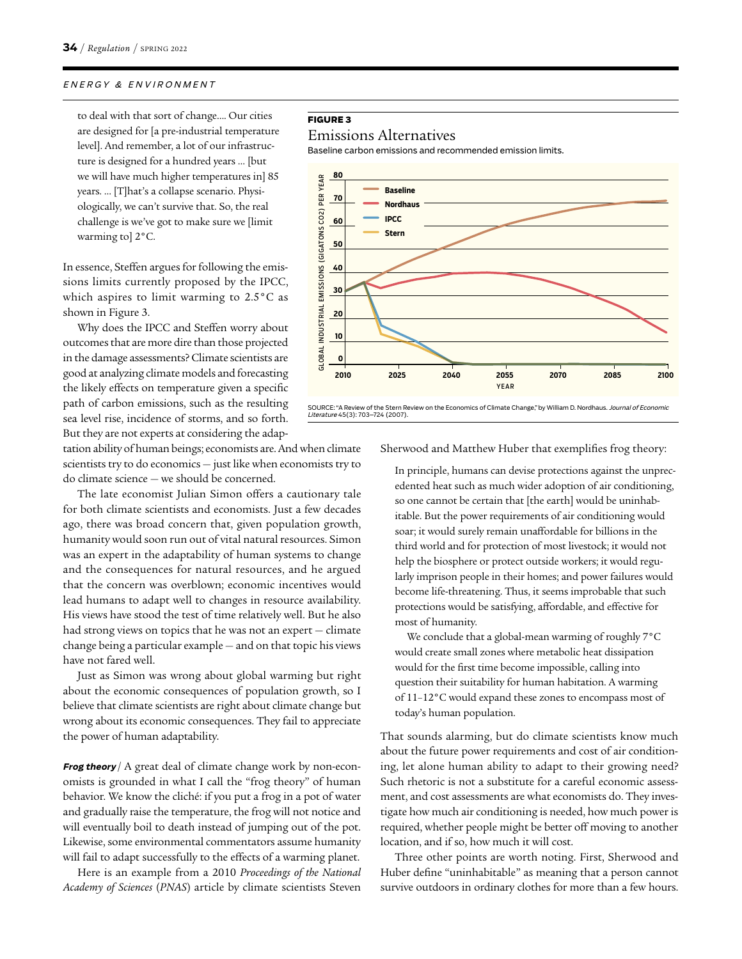to deal with that sort of change…. Our cities are designed for [a pre-industrial temperature level]. And remember, a lot of our infrastructure is designed for a hundred years … [but we will have much higher temperatures in] 85 years. … [T]hat's a collapse scenario. Physiologically, we can't survive that. So, the real challenge is we've got to make sure we [limit warming to] 2°C.

In essence, Steffen argues for following the emissions limits currently proposed by the IPCC, which aspires to limit warming to 2.5°C as shown in Figure 3.

Why does the IPCC and Steffen worry about outcomes that are more dire than those projected in the damage assessments? Climate scientists are good at analyzing climate models and forecasting the likely effects on temperature given a specific path of carbon emissions, such as the resulting sea level rise, incidence of storms, and so forth. But they are not experts at considering the adap-

tation ability of human beings; economists are. And when climate scientists try to do economics — just like when economists try to do climate science — we should be concerned.

The late economist Julian Simon offers a cautionary tale for both climate scientists and economists. Just a few decades ago, there was broad concern that, given population growth, humanity would soon run out of vital natural resources. Simon was an expert in the adaptability of human systems to change and the consequences for natural resources, and he argued that the concern was overblown; economic incentives would lead humans to adapt well to changes in resource availability. His views have stood the test of time relatively well. But he also had strong views on topics that he was not an expert — climate change being a particular example — and on that topic his views have not fared well.

Just as Simon was wrong about global warming but right about the economic consequences of population growth, so I believe that climate scientists are right about climate change but wrong about its economic consequences. They fail to appreciate the power of human adaptability.

**Frog theory** / A great deal of climate change work by non-economists is grounded in what I call the "frog theory" of human behavior. We know the cliché: if you put a frog in a pot of water and gradually raise the temperature, the frog will not notice and will eventually boil to death instead of jumping out of the pot. Likewise, some environmental commentators assume humanity will fail to adapt successfully to the effects of a warming planet.

Here is an example from a 2010 *Proceedings of the National Academy of Sciences* (*PNAS*) article by climate scientists Steven

#### **FIGURE 3**

#### Emissions Alternatives

Baseline carbon emissions and recommended emission limits.



SOURCE: "A Review of the Stern Review on the Economics of Climate Change," by William D. Nordhaus. Journal of Economic Literature 45(3): 703–724 (2007).

Sherwood and Matthew Huber that exemplifies frog theory:

In principle, humans can devise protections against the unprecedented heat such as much wider adoption of air conditioning, so one cannot be certain that [the earth] would be uninhabitable. But the power requirements of air conditioning would soar; it would surely remain unaffordable for billions in the third world and for protection of most livestock; it would not help the biosphere or protect outside workers; it would regularly imprison people in their homes; and power failures would become life-threatening. Thus, it seems improbable that such protections would be satisfying, affordable, and effective for most of humanity.

We conclude that a global-mean warming of roughly 7°C would create small zones where metabolic heat dissipation would for the first time become impossible, calling into question their suitability for human habitation. A warming of 11–12°C would expand these zones to encompass most of today's human population.

That sounds alarming, but do climate scientists know much about the future power requirements and cost of air conditioning, let alone human ability to adapt to their growing need? Such rhetoric is not a substitute for a careful economic assessment, and cost assessments are what economists do. They investigate how much air conditioning is needed, how much power is required, whether people might be better off moving to another location, and if so, how much it will cost.

Three other points are worth noting. First, Sherwood and Huber define "uninhabitable" as meaning that a person cannot survive outdoors in ordinary clothes for more than a few hours.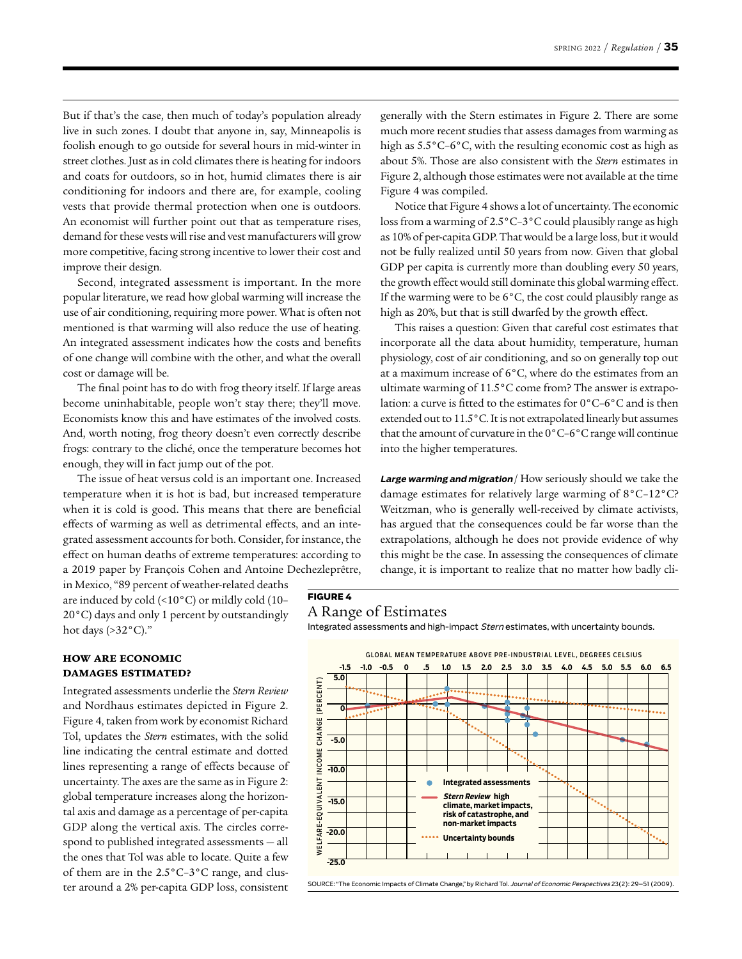But if that's the case, then much of today's population already live in such zones. I doubt that anyone in, say, Minneapolis is foolish enough to go outside for several hours in mid-winter in street clothes. Just as in cold climates there is heating for indoors and coats for outdoors, so in hot, humid climates there is air conditioning for indoors and there are, for example, cooling vests that provide thermal protection when one is outdoors. An economist will further point out that as temperature rises, demand for these vests will rise and vest manufacturers will grow more competitive, facing strong incentive to lower their cost and improve their design.

Second, integrated assessment is important. In the more popular literature, we read how global warming will increase the use of air conditioning, requiring more power. What is often not mentioned is that warming will also reduce the use of heating. An integrated assessment indicates how the costs and benefits of one change will combine with the other, and what the overall cost or damage will be.

The final point has to do with frog theory itself. If large areas become uninhabitable, people won't stay there; they'll move. Economists know this and have estimates of the involved costs. And, worth noting, frog theory doesn't even correctly describe frogs: contrary to the cliché, once the temperature becomes hot enough, they will in fact jump out of the pot.

The issue of heat versus cold is an important one. Increased temperature when it is hot is bad, but increased temperature when it is cold is good. This means that there are beneficial effects of warming as well as detrimental effects, and an integrated assessment accounts for both. Consider, for instance, the effect on human deaths of extreme temperatures: according to a 2019 paper by François Cohen and Antoine Dechezleprêtre,

in Mexico, "89 percent of weather-related deaths are induced by cold (<10°C) or mildly cold (10– 20°C) days and only 1 percent by outstandingly hot days (>32°C)."

generally with the Stern estimates in Figure 2. There are some much more recent studies that assess damages from warming as high as 5.5°C–6°C, with the resulting economic cost as high as about 5%. Those are also consistent with the *Stern* estimates in Figure 2, although those estimates were not available at the time Figure 4 was compiled.

Notice that Figure 4 shows a lot of uncertainty. The economic loss from a warming of 2.5°C–3°C could plausibly range as high as 10% of per-capita GDP. That would be a large loss, but it would not be fully realized until 50 years from now. Given that global GDP per capita is currently more than doubling every 50 years, the growth effect would still dominate this global warming effect. If the warming were to be  $6^{\circ}$ C, the cost could plausibly range as high as 20%, but that is still dwarfed by the growth effect.

This raises a question: Given that careful cost estimates that incorporate all the data about humidity, temperature, human physiology, cost of air conditioning, and so on generally top out at a maximum increase of 6°C, where do the estimates from an ultimate warming of 11.5°C come from? The answer is extrapolation: a curve is fitted to the estimates for 0°C–6°C and is then extended out to 11.5°C. It is not extrapolated linearly but assumes that the amount of curvature in the 0°C–6°C range will continue into the higher temperatures.

**Large warming and migration** / How seriously should we take the damage estimates for relatively large warming of 8°C–12°C? Weitzman, who is generally well-received by climate activists, has argued that the consequences could be far worse than the extrapolations, although he does not provide evidence of why this might be the case. In assessing the consequences of climate change, it is important to realize that no matter how badly cli-

#### A Range of Estimates

**FIGURE 4**

Integrated assessments and high-impact Stern estimates, with uncertainty bounds.

#### HOW ARE ECONOMIC DAMAGES ESTIMATED?

Integrated assessments underlie the *Stern Review* and Nordhaus estimates depicted in Figure 2. Figure 4, taken from work by economist Richard Tol, updates the *Stern* estimates, with the solid line indicating the central estimate and dotted lines representing a range of effects because of uncertainty. The axes are the same as in Figure 2: global temperature increases along the horizontal axis and damage as a percentage of per-capita GDP along the vertical axis. The circles correspond to published integrated assessments — all the ones that Tol was able to locate. Quite a few of them are in the 2.5°C–3°C range, and cluster around a 2% per-capita GDP loss, consistent



SOURCE: "The Economic Impacts of Climate Change," by Richard Tol. Journal of Economic Perspectives 23(2): 29–51 (2009).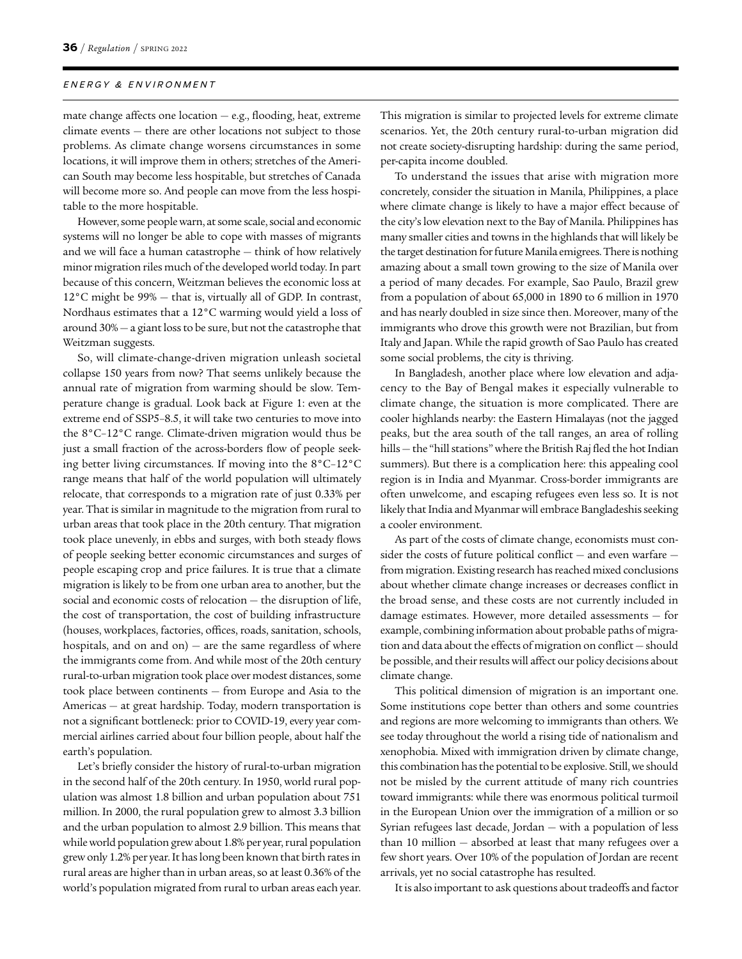mate change affects one location — e.g., flooding, heat, extreme climate events — there are other locations not subject to those problems. As climate change worsens circumstances in some locations, it will improve them in others; stretches of the American South may become less hospitable, but stretches of Canada will become more so. And people can move from the less hospitable to the more hospitable.

However, some people warn, at some scale, social and economic systems will no longer be able to cope with masses of migrants and we will face a human catastrophe — think of how relatively minor migration riles much of the developed world today. In part because of this concern, Weitzman believes the economic loss at  $12^{\circ}$ C might be 99%  $-$  that is, virtually all of GDP. In contrast, Nordhaus estimates that a 12°C warming would yield a loss of around 30% — a giant loss to be sure, but not the catastrophe that Weitzman suggests.

So, will climate-change-driven migration unleash societal collapse 150 years from now? That seems unlikely because the annual rate of migration from warming should be slow. Temperature change is gradual. Look back at Figure 1: even at the extreme end of SSP5–8.5, it will take two centuries to move into the 8°C–12°C range. Climate-driven migration would thus be just a small fraction of the across-borders flow of people seeking better living circumstances. If moving into the 8°C–12°C range means that half of the world population will ultimately relocate, that corresponds to a migration rate of just 0.33% per year. That is similar in magnitude to the migration from rural to urban areas that took place in the 20th century. That migration took place unevenly, in ebbs and surges, with both steady flows of people seeking better economic circumstances and surges of people escaping crop and price failures. It is true that a climate migration is likely to be from one urban area to another, but the social and economic costs of relocation — the disruption of life, the cost of transportation, the cost of building infrastructure (houses, workplaces, factories, offices, roads, sanitation, schools, hospitals, and on and on)  $-$  are the same regardless of where the immigrants come from. And while most of the 20th century rural-to-urban migration took place over modest distances, some took place between continents — from Europe and Asia to the Americas — at great hardship. Today, modern transportation is not a significant bottleneck: prior to COVID-19, every year commercial airlines carried about four billion people, about half the earth's population.

Let's briefly consider the history of rural-to-urban migration in the second half of the 20th century. In 1950, world rural population was almost 1.8 billion and urban population about 751 million. In 2000, the rural population grew to almost 3.3 billion and the urban population to almost 2.9 billion. This means that while world population grew about 1.8% per year, rural population grew only 1.2% per year. It has long been known that birth rates in rural areas are higher than in urban areas, so at least 0.36% of the world's population migrated from rural to urban areas each year.

This migration is similar to projected levels for extreme climate scenarios. Yet, the 20th century rural-to-urban migration did not create society-disrupting hardship: during the same period, per-capita income doubled.

To understand the issues that arise with migration more concretely, consider the situation in Manila, Philippines, a place where climate change is likely to have a major effect because of the city's low elevation next to the Bay of Manila. Philippines has many smaller cities and towns in the highlands that will likely be the target destination for future Manila emigrees. There is nothing amazing about a small town growing to the size of Manila over a period of many decades. For example, Sao Paulo, Brazil grew from a population of about 65,000 in 1890 to 6 million in 1970 and has nearly doubled in size since then. Moreover, many of the immigrants who drove this growth were not Brazilian, but from Italy and Japan. While the rapid growth of Sao Paulo has created some social problems, the city is thriving.

In Bangladesh, another place where low elevation and adjacency to the Bay of Bengal makes it especially vulnerable to climate change, the situation is more complicated. There are cooler highlands nearby: the Eastern Himalayas (not the jagged peaks, but the area south of the tall ranges, an area of rolling hills — the "hill stations" where the British Raj fled the hot Indian summers). But there is a complication here: this appealing cool region is in India and Myanmar. Cross-border immigrants are often unwelcome, and escaping refugees even less so. It is not likely that India and Myanmar will embrace Bangladeshis seeking a cooler environment.

As part of the costs of climate change, economists must consider the costs of future political conflict — and even warfare from migration. Existing research has reached mixed conclusions about whether climate change increases or decreases conflict in the broad sense, and these costs are not currently included in damage estimates. However, more detailed assessments — for example, combining information about probable paths of migration and data about the effects of migration on conflict — should be possible, and their results will affect our policy decisions about climate change.

This political dimension of migration is an important one. Some institutions cope better than others and some countries and regions are more welcoming to immigrants than others. We see today throughout the world a rising tide of nationalism and xenophobia. Mixed with immigration driven by climate change, this combination has the potential to be explosive. Still, we should not be misled by the current attitude of many rich countries toward immigrants: while there was enormous political turmoil in the European Union over the immigration of a million or so Syrian refugees last decade, Jordan — with a population of less than 10 million — absorbed at least that many refugees over a few short years. Over 10% of the population of Jordan are recent arrivals, yet no social catastrophe has resulted.

It is also important to ask questions about tradeoffs and factor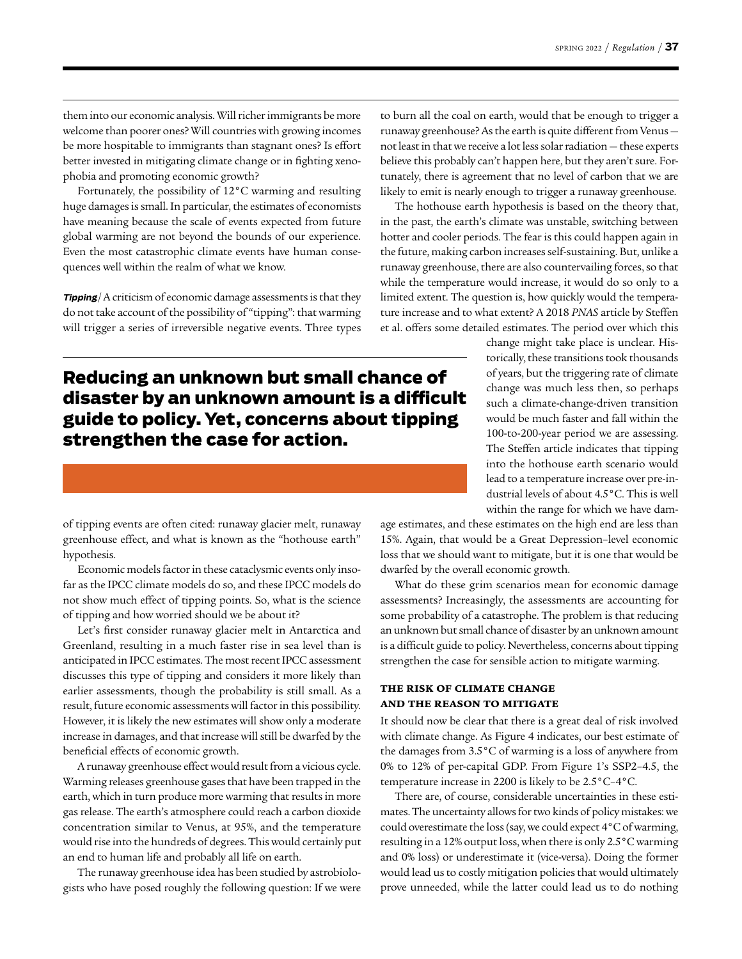them into our economic analysis. Will richer immigrants be more welcome than poorer ones? Will countries with growing incomes be more hospitable to immigrants than stagnant ones? Is effort better invested in mitigating climate change or in fighting xenophobia and promoting economic growth?

Fortunately, the possibility of 12°C warming and resulting huge damages is small. In particular, the estimates of economists have meaning because the scale of events expected from future global warming are not beyond the bounds of our experience. Even the most catastrophic climate events have human consequences well within the realm of what we know.

**Tipping** / A criticism of economic damage assessments is that they do not take account of the possibility of "tipping": that warming will trigger a series of irreversible negative events. Three types

### **Reducing an unknown but small chance of disaster by an unknown amount is a difficult guide to policy. Yet, concerns about tipping strengthen the case for action.**

of tipping events are often cited: runaway glacier melt, runaway greenhouse effect, and what is known as the "hothouse earth" hypothesis.

Economic models factor in these cataclysmic events only insofar as the IPCC climate models do so, and these IPCC models do not show much effect of tipping points. So, what is the science of tipping and how worried should we be about it?

Let's first consider runaway glacier melt in Antarctica and Greenland, resulting in a much faster rise in sea level than is anticipated in IPCC estimates. The most recent IPCC assessment discusses this type of tipping and considers it more likely than earlier assessments, though the probability is still small. As a result, future economic assessments will factor in this possibility. However, it is likely the new estimates will show only a moderate increase in damages, and that increase will still be dwarfed by the beneficial effects of economic growth.

A runaway greenhouse effect would result from a vicious cycle. Warming releases greenhouse gases that have been trapped in the earth, which in turn produce more warming that results in more gas release. The earth's atmosphere could reach a carbon dioxide concentration similar to Venus, at 95%, and the temperature would rise into the hundreds of degrees. This would certainly put an end to human life and probably all life on earth.

The runaway greenhouse idea has been studied by astrobiologists who have posed roughly the following question: If we were to burn all the coal on earth, would that be enough to trigger a runaway greenhouse? As the earth is quite different from Venus not least in that we receive a lot less solar radiation — these experts believe this probably can't happen here, but they aren't sure. Fortunately, there is agreement that no level of carbon that we are likely to emit is nearly enough to trigger a runaway greenhouse.

The hothouse earth hypothesis is based on the theory that, in the past, the earth's climate was unstable, switching between hotter and cooler periods. The fear is this could happen again in the future, making carbon increases self-sustaining. But, unlike a runaway greenhouse, there are also countervailing forces, so that while the temperature would increase, it would do so only to a limited extent. The question is, how quickly would the temperature increase and to what extent? A 2018 *PNAS* article by Steffen et al. offers some detailed estimates. The period over which this

> change might take place is unclear. Historically, these transitions took thousands of years, but the triggering rate of climate change was much less then, so perhaps such a climate-change-driven transition would be much faster and fall within the 100-to-200-year period we are assessing. The Steffen article indicates that tipping into the hothouse earth scenario would lead to a temperature increase over pre-industrial levels of about 4.5°C. This is well within the range for which we have dam-

age estimates, and these estimates on the high end are less than 15%. Again, that would be a Great Depression–level economic loss that we should want to mitigate, but it is one that would be dwarfed by the overall economic growth.

What do these grim scenarios mean for economic damage assessments? Increasingly, the assessments are accounting for some probability of a catastrophe. The problem is that reducing an unknown but small chance of disaster by an unknown amount is a difficult guide to policy. Nevertheless, concerns about tipping strengthen the case for sensible action to mitigate warming.

#### THE RISK OF CLIMATE CHANGE AND THE REASON TO MITIGATE

It should now be clear that there is a great deal of risk involved with climate change. As Figure 4 indicates, our best estimate of the damages from 3.5°C of warming is a loss of anywhere from 0% to 12% of per-capital GDP. From Figure 1's SSP2–4.5, the temperature increase in 2200 is likely to be 2.5°C–4°C.

There are, of course, considerable uncertainties in these estimates. The uncertainty allows for two kinds of policy mistakes: we could overestimate the loss (say, we could expect 4°C of warming, resulting in a 12% output loss, when there is only 2.5°C warming and 0% loss) or underestimate it (vice-versa). Doing the former would lead us to costly mitigation policies that would ultimately prove unneeded, while the latter could lead us to do nothing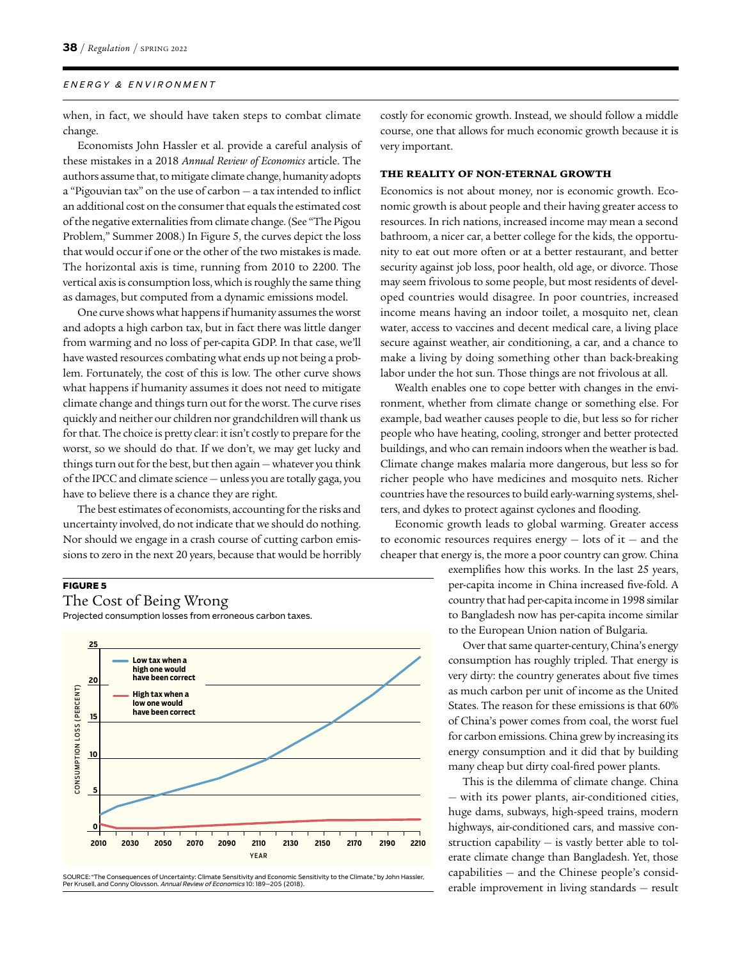when, in fact, we should have taken steps to combat climate change.

Economists John Hassler et al. provide a careful analysis of these mistakes in a 2018 *Annual Review of Economics* article. The authors assume that, to mitigate climate change, humanity adopts a "Pigouvian tax" on the use of carbon — a tax intended to inflict an additional cost on the consumer that equals the estimated cost of the negative externalities from climate change. (See "The Pigou Problem," Summer 2008.) In Figure 5, the curves depict the loss that would occur if one or the other of the two mistakes is made. The horizontal axis is time, running from 2010 to 2200. The vertical axis is consumption loss, which is roughly the same thing as damages, but computed from a dynamic emissions model.

One curve shows what happens if humanity assumes the worst and adopts a high carbon tax, but in fact there was little danger from warming and no loss of per-capita GDP. In that case, we'll have wasted resources combating what ends up not being a problem. Fortunately, the cost of this is low. The other curve shows what happens if humanity assumes it does not need to mitigate climate change and things turn out for the worst. The curve rises quickly and neither our children nor grandchildren will thank us for that. The choice is pretty clear: it isn't costly to prepare for the worst, so we should do that. If we don't, we may get lucky and things turn out for the best, but then again — whatever you think of the IPCC and climate science — unless you are totally gaga, you have to believe there is a chance they are right.

The best estimates of economists, accounting for the risks and uncertainty involved, do not indicate that we should do nothing. Nor should we engage in a crash course of cutting carbon emissions to zero in the next 20 years, because that would be horribly

#### **FIGURE 5**

The Cost of Being Wrong

Projected consumption losses from erroneous carbon taxes.



SOURCE: "The Consequences of Uncertainty: Climate Sensitivity and Economic Sensitivity to the Climate," by John Hassler,<br>Per Krusell, and Conny Olovsson. *Annual Review of Economics* 10: 189–205 (2018).

costly for economic growth. Instead, we should follow a middle course, one that allows for much economic growth because it is very important.

#### THE REALITY OF NON-ETERNAL GROWTH

Economics is not about money, nor is economic growth. Economic growth is about people and their having greater access to resources. In rich nations, increased income may mean a second bathroom, a nicer car, a better college for the kids, the opportunity to eat out more often or at a better restaurant, and better security against job loss, poor health, old age, or divorce. Those may seem frivolous to some people, but most residents of developed countries would disagree. In poor countries, increased income means having an indoor toilet, a mosquito net, clean water, access to vaccines and decent medical care, a living place secure against weather, air conditioning, a car, and a chance to make a living by doing something other than back-breaking labor under the hot sun. Those things are not frivolous at all.

Wealth enables one to cope better with changes in the environment, whether from climate change or something else. For example, bad weather causes people to die, but less so for richer people who have heating, cooling, stronger and better protected buildings, and who can remain indoors when the weather is bad. Climate change makes malaria more dangerous, but less so for richer people who have medicines and mosquito nets. Richer countries have the resources to build early-warning systems, shelters, and dykes to protect against cyclones and flooding.

Economic growth leads to global warming. Greater access to economic resources requires energy  $-$  lots of it  $-$  and the cheaper that energy is, the more a poor country can grow. China

> exemplifies how this works. In the last 25 years, per-capita income in China increased five-fold. A country that had per-capita income in 1998 similar to Bangladesh now has per-capita income similar to the European Union nation of Bulgaria.

> Over that same quarter-century, China's energy consumption has roughly tripled. That energy is very dirty: the country generates about five times as much carbon per unit of income as the United States. The reason for these emissions is that 60% of China's power comes from coal, the worst fuel for carbon emissions. China grew by increasing its energy consumption and it did that by building many cheap but dirty coal-fired power plants.

> This is the dilemma of climate change. China — with its power plants, air-conditioned cities, huge dams, subways, high-speed trains, modern highways, air-conditioned cars, and massive construction capability — is vastly better able to tolerate climate change than Bangladesh. Yet, those capabilities — and the Chinese people's considerable improvement in living standards — result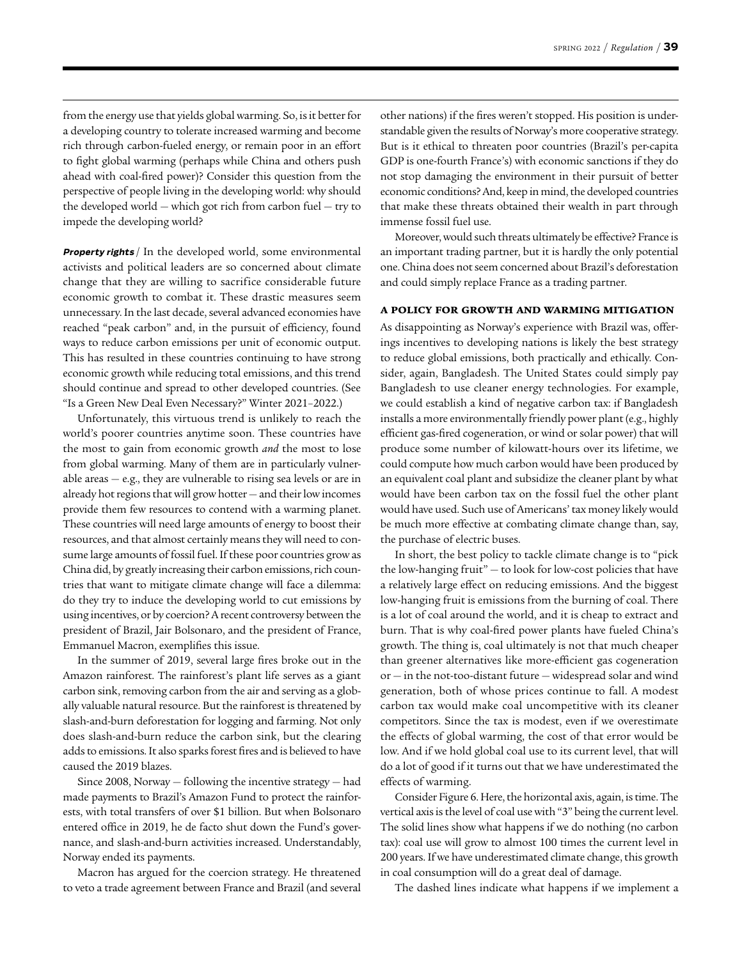from the energy use that yields global warming. So, is it better for a developing country to tolerate increased warming and become rich through carbon-fueled energy, or remain poor in an effort to fight global warming (perhaps while China and others push ahead with coal-fired power)? Consider this question from the perspective of people living in the developing world: why should the developed world — which got rich from carbon fuel — try to impede the developing world?

**Property rights** / In the developed world, some environmental activists and political leaders are so concerned about climate change that they are willing to sacrifice considerable future economic growth to combat it. These drastic measures seem unnecessary. In the last decade, several advanced economies have reached "peak carbon" and, in the pursuit of efficiency, found ways to reduce carbon emissions per unit of economic output. This has resulted in these countries continuing to have strong economic growth while reducing total emissions, and this trend should continue and spread to other developed countries. (See "Is a Green New Deal Even Necessary?" Winter 2021–2022.)

Unfortunately, this virtuous trend is unlikely to reach the world's poorer countries anytime soon. These countries have the most to gain from economic growth *and* the most to lose from global warming. Many of them are in particularly vulnerable areas  $-$  e.g., they are vulnerable to rising sea levels or are in already hot regions that will grow hotter — and their low incomes provide them few resources to contend with a warming planet. These countries will need large amounts of energy to boost their resources, and that almost certainly means they will need to consume large amounts of fossil fuel. If these poor countries grow as China did, by greatly increasing their carbon emissions, rich countries that want to mitigate climate change will face a dilemma: do they try to induce the developing world to cut emissions by using incentives, or by coercion? A recent controversy between the president of Brazil, Jair Bolsonaro, and the president of France, Emmanuel Macron, exemplifies this issue.

In the summer of 2019, several large fires broke out in the Amazon rainforest. The rainforest's plant life serves as a giant carbon sink, removing carbon from the air and serving as a globally valuable natural resource. But the rainforest is threatened by slash-and-burn deforestation for logging and farming. Not only does slash-and-burn reduce the carbon sink, but the clearing adds to emissions. It also sparks forest fires and is believed to have caused the 2019 blazes.

Since 2008, Norway — following the incentive strategy — had made payments to Brazil's Amazon Fund to protect the rainforests, with total transfers of over \$1 billion. But when Bolsonaro entered office in 2019, he de facto shut down the Fund's governance, and slash-and-burn activities increased. Understandably, Norway ended its payments.

Macron has argued for the coercion strategy. He threatened to veto a trade agreement between France and Brazil (and several other nations) if the fires weren't stopped. His position is understandable given the results of Norway's more cooperative strategy. But is it ethical to threaten poor countries (Brazil's per-capita GDP is one-fourth France's) with economic sanctions if they do not stop damaging the environment in their pursuit of better economic conditions? And, keep in mind, the developed countries that make these threats obtained their wealth in part through immense fossil fuel use.

Moreover, would such threats ultimately be effective? France is an important trading partner, but it is hardly the only potential one. China does not seem concerned about Brazil's deforestation and could simply replace France as a trading partner.

#### A POLICY FOR GROWTH AND WARMING MITIGATION

As disappointing as Norway's experience with Brazil was, offerings incentives to developing nations is likely the best strategy to reduce global emissions, both practically and ethically. Consider, again, Bangladesh. The United States could simply pay Bangladesh to use cleaner energy technologies. For example, we could establish a kind of negative carbon tax: if Bangladesh installs a more environmentally friendly power plant (e.g., highly efficient gas-fired cogeneration, or wind or solar power) that will produce some number of kilowatt-hours over its lifetime, we could compute how much carbon would have been produced by an equivalent coal plant and subsidize the cleaner plant by what would have been carbon tax on the fossil fuel the other plant would have used. Such use of Americans' tax money likely would be much more effective at combating climate change than, say, the purchase of electric buses.

In short, the best policy to tackle climate change is to "pick the low-hanging fruit" — to look for low-cost policies that have a relatively large effect on reducing emissions. And the biggest low-hanging fruit is emissions from the burning of coal. There is a lot of coal around the world, and it is cheap to extract and burn. That is why coal-fired power plants have fueled China's growth. The thing is, coal ultimately is not that much cheaper than greener alternatives like more-efficient gas cogeneration or — in the not-too-distant future — widespread solar and wind generation, both of whose prices continue to fall. A modest carbon tax would make coal uncompetitive with its cleaner competitors. Since the tax is modest, even if we overestimate the effects of global warming, the cost of that error would be low. And if we hold global coal use to its current level, that will do a lot of good if it turns out that we have underestimated the effects of warming.

Consider Figure 6. Here, the horizontal axis, again, is time. The vertical axis is the level of coal use with "3" being the current level. The solid lines show what happens if we do nothing (no carbon tax): coal use will grow to almost 100 times the current level in 200 years. If we have underestimated climate change, this growth in coal consumption will do a great deal of damage.

The dashed lines indicate what happens if we implement a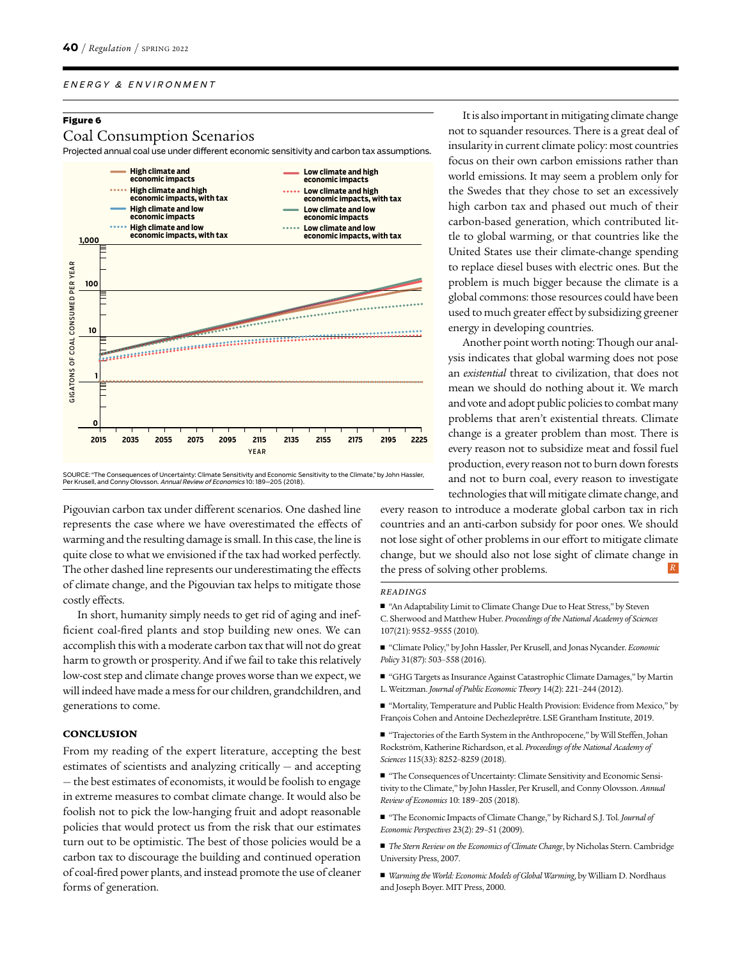#### **Figure 6**

#### Coal Consumption Scenarios

Projected annual coal use under different economic sensitivity and carbon tax assumptions.



Pigouvian carbon tax under different scenarios. One dashed line represents the case where we have overestimated the effects of warming and the resulting damage is small. In this case, the line is quite close to what we envisioned if the tax had worked perfectly. The other dashed line represents our underestimating the effects of climate change, and the Pigouvian tax helps to mitigate those costly effects.

In short, humanity simply needs to get rid of aging and inefficient coal-fired plants and stop building new ones. We can accomplish this with a moderate carbon tax that will not do great harm to growth or prosperity. And if we fail to take this relatively low-cost step and climate change proves worse than we expect, we will indeed have made a mess for our children, grandchildren, and generations to come.

#### **CONCLUSION**

From my reading of the expert literature, accepting the best estimates of scientists and analyzing critically — and accepting — the best estimates of economists, it would be foolish to engage in extreme measures to combat climate change. It would also be foolish not to pick the low-hanging fruit and adopt reasonable policies that would protect us from the risk that our estimates turn out to be optimistic. The best of those policies would be a carbon tax to discourage the building and continued operation of coal-fired power plants, and instead promote the use of cleaner forms of generation.

It is also important in mitigating climate change not to squander resources. There is a great deal of insularity in current climate policy: most countries focus on their own carbon emissions rather than world emissions. It may seem a problem only for the Swedes that they chose to set an excessively high carbon tax and phased out much of their carbon-based generation, which contributed little to global warming, or that countries like the United States use their climate-change spending to replace diesel buses with electric ones. But the problem is much bigger because the climate is a global commons: those resources could have been used to much greater effect by subsidizing greener energy in developing countries.

Another point worth noting: Though our analysis indicates that global warming does not pose an *existential* threat to civilization, that does not mean we should do nothing about it. We march and vote and adopt public policies to combat many problems that aren't existential threats. Climate change is a greater problem than most. There is every reason not to subsidize meat and fossil fuel production, every reason not to burn down forests and not to burn coal, every reason to investigate technologies that will mitigate climate change, and

every reason to introduce a moderate global carbon tax in rich countries and an anti-carbon subsidy for poor ones. We should not lose sight of other problems in our effort to mitigate climate change, but we should also not lose sight of climate change in the press of solving other problems. *R*

#### *READINGS*

- "An Adaptability Limit to Climate Change Due to Heat Stress," by Steven C. Sherwood and Matthew Huber. *Proceedings of the National Academy of Sciences* 107(21): 9552–9555 (2010).
- "Climate Policy," by John Hassler, Per Krusell, and Jonas Nycander. *Economic Policy* 31(87): 503–558 (2016).
- "GHG Targets as Insurance Against Catastrophic Climate Damages," by Martin L. Weitzman. *Journal of Public Economic Theory* 14(2): 221–244 (2012).
- "Mortality, Temperature and Public Health Provision: Evidence from Mexico," by François Cohen and Antoine Dechezleprêtre. LSE Grantham Institute, 2019.
- "Trajectories of the Earth System in the Anthropocene," by Will Steffen, Johan Rockström, Katherine Richardson, et al. *Proceedings of the National Academy of Sciences* 115(33): 8252–8259 (2018).
- "The Consequences of Uncertainty: Climate Sensitivity and Economic Sensitivity to the Climate," by John Hassler, Per Krusell, and Conny Olovsson. *Annual Review of Economics* 10: 189–205 (2018).
- "The Economic Impacts of Climate Change," by Richard S.J. Tol. *Journal of Economic Perspectives* 23(2): 29–51 (2009).
- *The Stern Review on the Economics of Climate Change*, by Nicholas Stern. Cambridge University Press, 2007.
- *Warming the World: Economic Models of Global Warming*, by William D. Nordhaus and Joseph Boyer. MIT Press, 2000.